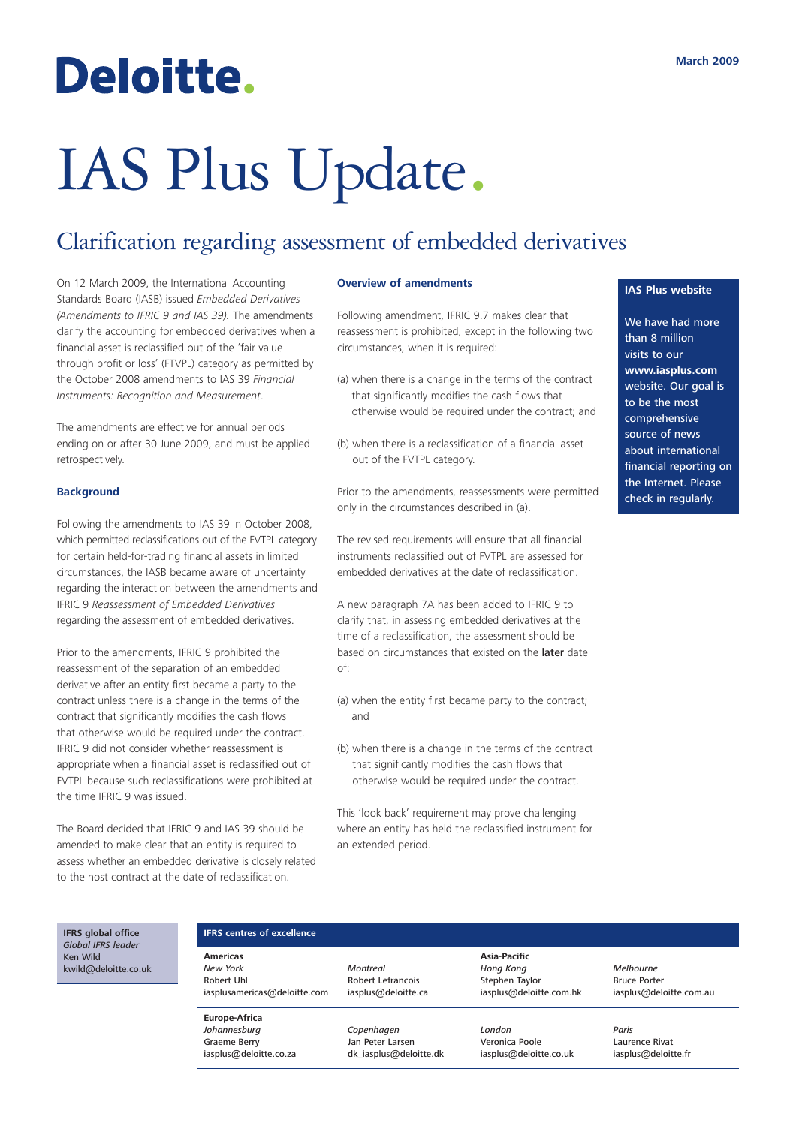## Deloitte.

# IAS Plus Update.

### Clarification regarding assessment of embedded derivatives

On 12 March 2009, the International Accounting Standards Board (IASB) issued *Embedded Derivatives (Amendments to IFRIC 9 and IAS 39).* The amendments clarify the accounting for embedded derivatives when a financial asset is reclassified out of the 'fair value through profit or loss' (FTVPL) category as permitted by the October 2008 amendments to IAS 39 *Financial Instruments: Recognition and Measurement*.

The amendments are effective for annual periods ending on or after 30 June 2009, and must be applied retrospectively.

#### **Background**

Following the amendments to IAS 39 in October 2008, which permitted reclassifications out of the FVTPL category for certain held-for-trading financial assets in limited circumstances, the IASB became aware of uncertainty regarding the interaction between the amendments and IFRIC 9 *Reassessment of Embedded Derivatives* regarding the assessment of embedded derivatives.

Prior to the amendments, IFRIC 9 prohibited the reassessment of the separation of an embedded derivative after an entity first became a party to the contract unless there is a change in the terms of the contract that significantly modifies the cash flows that otherwise would be required under the contract. IFRIC 9 did not consider whether reassessment is appropriate when a financial asset is reclassified out of FVTPL because such reclassifications were prohibited at the time IFRIC 9 was issued.

The Board decided that IFRIC 9 and IAS 39 should be amended to make clear that an entity is required to assess whether an embedded derivative is closely related to the host contract at the date of reclassification.

#### **Overview of amendments**

Following amendment, IFRIC 9.7 makes clear that reassessment is prohibited, except in the following two circumstances, when it is required:

- (a) when there is a change in the terms of the contract that significantly modifies the cash flows that otherwise would be required under the contract; and
- (b) when there is a reclassification of a financial asset out of the FVTPL category.

Prior to the amendments, reassessments were permitted only in the circumstances described in (a).

The revised requirements will ensure that all financial instruments reclassified out of FVTPL are assessed for embedded derivatives at the date of reclassification.

A new paragraph 7A has been added to IFRIC 9 to clarify that, in assessing embedded derivatives at the time of a reclassification, the assessment should be based on circumstances that existed on the later date of:

- (a) when the entity first became party to the contract; and
- (b) when there is a change in the terms of the contract that significantly modifies the cash flows that otherwise would be required under the contract.

This 'look back' requirement may prove challenging where an entity has held the reclassified instrument for an extended period.

#### **IAS Plus website**

We have had more than 8 million visits to our **www.iasplus.com** website. Our goal is to be the most comprehensive source of news about international financial reporting on the Internet. Please check in regularly.

#### **IFRS global office** *Global IFRS leader* Ken Wild kwild@deloitte.co.uk

#### **IFRS centres of excellence**

**Americas** *New York* Robert Uhl iasplusamericas@deloitte.com

**Europe-Africa** *Johannesburg* Graeme Berry iasplus@deloitte.co.za *Montreal* Robert Lefrancois iasplus@deloitte.ca

> *Copenhagen* Jan Peter Larsen dk\_iasplus@deloitte.dk

**Asia-Pacific** *Hong Kong* Stephen Taylor iasplus@deloitte.com.hk

*London* Veronica Poole iasplus@deloitte.co.uk *Melbourne* Bruce Porter iasplus@deloitte.com.au

*Paris* Laurence Rivat iasplus@deloitte.fr